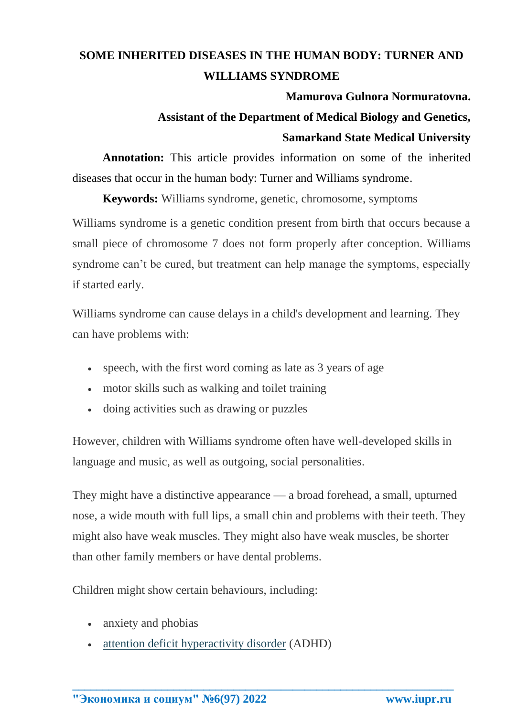## **SOME INHERITED DISEASES IN THE HUMAN BODY: TURNER AND WILLIAMS SYNDROME**

#### **Mamurova Gulnora Normuratovna.**

# **Assistant of the Department of Medical Biology and Genetics, Samarkand State Medical University**

**Annotation:** This article provides information on some of the inherited diseases that occur in the human body: Turner and Williams syndrome.

**Keywords:** Williams syndrome, genetic, chromosome, symptoms

Williams syndrome is a genetic condition present from birth that occurs because a small piece of chromosome 7 does not form properly after conception. Williams syndrome can't be cured, but treatment can help manage the symptoms, especially if started early.

Williams syndrome can cause delays in a child's development and learning. They can have problems with:

- speech, with the first word coming as late as 3 years of age
- motor skills such as walking and toilet training
- doing activities such as drawing or puzzles

However, children with Williams syndrome often have well-developed skills in language and music, as well as outgoing, social personalities.

They might have a distinctive appearance — a broad forehead, a small, upturned nose, a wide mouth with full lips, a small chin and problems with their teeth. They might also have weak muscles. They might also have weak muscles, be shorter than other family members or have dental problems.

**\_\_\_\_\_\_\_\_\_\_\_\_\_\_\_\_\_\_\_\_\_\_\_\_\_\_\_\_\_\_\_\_\_\_\_\_\_\_\_\_\_\_\_\_\_\_\_\_\_\_\_\_\_\_\_\_\_\_\_\_\_\_\_\_**

Children might show certain behaviours, including:

- anxiety and phobias
- [attention deficit hyperactivity disorder](https://www.healthdirect.gov.au/attention-deficit-disorder-add-or-adhd) (ADHD)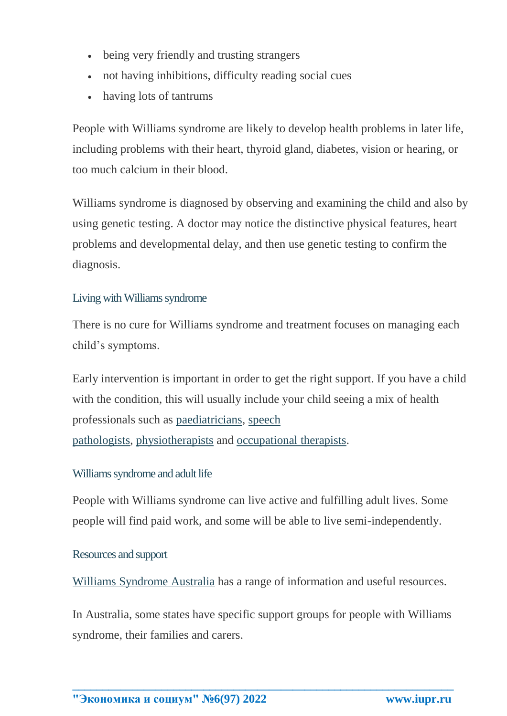- being very friendly and trusting strangers
- not having inhibitions, difficulty reading social cues
- having lots of tantrums

People with Williams syndrome are likely to develop health problems in later life, including problems with their heart, thyroid gland, diabetes, vision or hearing, or too much calcium in their blood.

Williams syndrome is diagnosed by observing and examining the child and also by using genetic testing. A doctor may notice the distinctive physical features, heart problems and developmental delay, and then use genetic testing to confirm the diagnosis.

## Living with Williams syndrome

There is no cure for Williams syndrome and treatment focuses on managing each child's symptoms.

Early intervention is important in order to get the right support. If you have a child with the condition, this will usually include your child seeing a mix of health professionals such as [paediatricians,](https://www.healthdirect.gov.au/what-do-paediatricians-do) [speech](https://www.healthdirect.gov.au/speech-pathology)  [pathologists,](https://www.healthdirect.gov.au/speech-pathology) [physiotherapists](https://www.healthdirect.gov.au/physiotherapy) and [occupational therapists.](https://www.healthdirect.gov.au/occupational-therapy)

## Williams syndrome and adult life

People with Williams syndrome can live active and fulfilling adult lives. Some people will find paid work, and some will be able to live semi-independently.

## Resources and support

[Williams Syndrome Australia](http://www.williamssyndrome.org.au/index.php) has a range of information and useful resources.

In Australia, some states have specific support groups for people with Williams syndrome, their families and carers.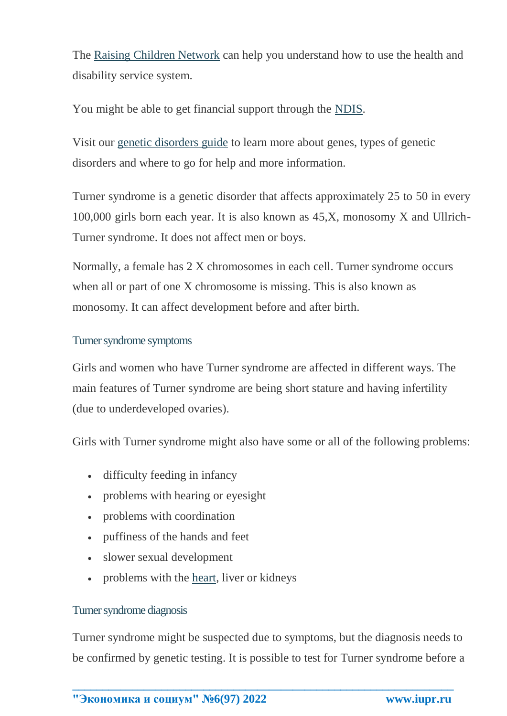The [Raising Children Network](https://raisingchildren.net.au/disability/services-support/services/disability-services) can help you understand how to use the health and disability service system.

You might be able to get financial support through the [NDIS.](https://www.ndis.gov.au/)

Visit our [genetic disorders guide](https://www.healthdirect.gov.au/guide-to-genetic-disorders) to learn more about genes, types of genetic disorders and where to go for help and more information.

Turner syndrome is a genetic disorder that affects approximately 25 to 50 in every 100,000 girls born each year. It is also known as 45,X, monosomy X and Ullrich-Turner syndrome. It does not affect men or boys.

Normally, a female has 2 X chromosomes in each cell. Turner syndrome occurs when all or part of one X chromosome is missing. This is also known as monosomy. It can affect development before and after birth.

#### Turner syndrome symptoms

Girls and women who have Turner syndrome are affected in different ways. The main features of Turner syndrome are being short stature and having infertility (due to underdeveloped ovaries).

Girls with Turner syndrome might also have some or all of the following problems:

- difficulty feeding in infancy
- problems with hearing or eyesight
- problems with coordination
- puffiness of the hands and feet
- slower sexual development
- problems with the [heart,](https://www.healthdirect.gov.au/heart-and-cardiovascular-conditions) liver or kidneys

## Turner syndrome diagnosis

Turner syndrome might be suspected due to symptoms, but the diagnosis needs to be confirmed by genetic testing. It is possible to test for Turner syndrome before a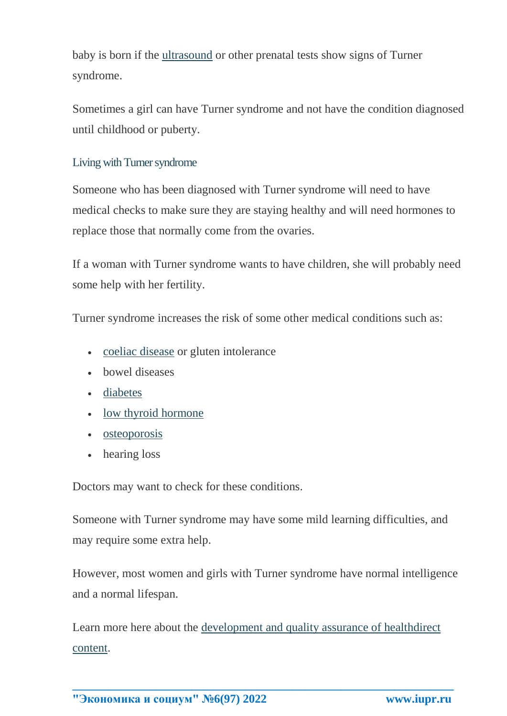baby is born if the [ultrasound](https://www.healthdirect.gov.au/ultrasound) or other prenatal tests show signs of Turner syndrome.

Sometimes a girl can have Turner syndrome and not have the condition diagnosed until childhood or puberty.

## Living with Turner syndrome

Someone who has been diagnosed with Turner syndrome will need to have medical checks to make sure they are staying healthy and will need hormones to replace those that normally come from the ovaries.

If a woman with Turner syndrome wants to have children, she will probably need some help with her fertility.

Turner syndrome increases the risk of some other medical conditions such as:

- [coeliac disease](https://www.healthdirect.gov.au/coeliac-disease) or gluten intolerance
- bowel diseases
- [diabetes](https://www.healthdirect.gov.au/diabetes)
- [low thyroid hormone](https://www.healthdirect.gov.au/hypothyroidism)
- [osteoporosis](https://www.healthdirect.gov.au/osteoporosis)
- hearing loss

Doctors may want to check for these conditions.

Someone with Turner syndrome may have some mild learning difficulties, and may require some extra help.

However, most women and girls with Turner syndrome have normal intelligence and a normal lifespan.

Learn more here about the [development and quality assurance of healthdirect](https://www.healthdirect.gov.au/about-our-content)  [content.](https://www.healthdirect.gov.au/about-our-content)